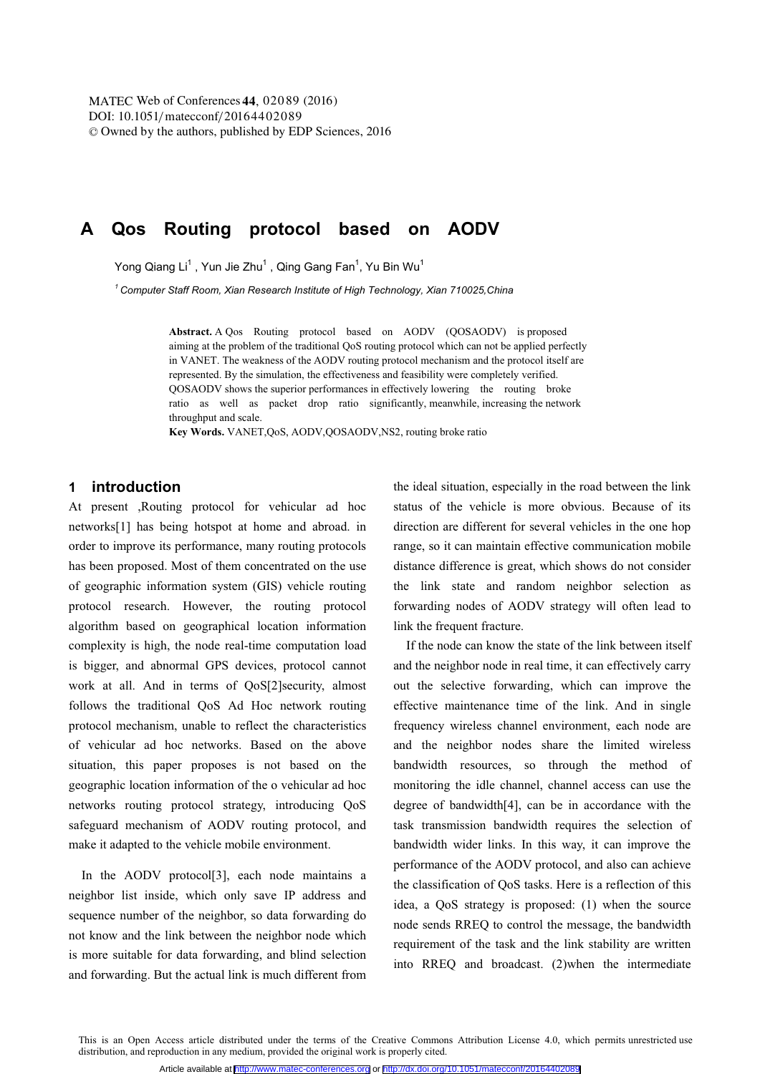DOI: 10.1051/matecconf/20164402089 -<sup>C</sup> Owned by the authors, published by EDP Sciences, 201 6 MATEC Web of Conferences 44, 02089 (2016)

# **A Qos Routing protocol based on AODV**

Yong Qiang Li, Yun Jie Zhu, Qing Gang Fan, Yu Bin Wu

*1 Computer Staff Room, Xian Research Institute of High Technology, Xian 710025,China* 

**Abstract.** A Qos Routing protocol based on AODV (QOSAODV) is proposed aiming at the problem of the traditional QoS routing protocol which can not be applied perfectly in VANET. The weakness of the AODV routing protocol mechanism and the protocol itself are represented. By the simulation, the effectiveness and feasibility were completely verified. QOSAODV shows the superior performances in effectively lowering the routing broke ratio as well as packet drop ratio significantly, meanwhile, increasing the network throughput and scale.

**Key Words.** VANET,QoS, AODV,QOSAODV,NS2, routing broke ratio

### **1 introduction**

At present ,Routing protocol for vehicular ad hoc networks[1] has being hotspot at home and abroad. in order to improve its performance, many routing protocols has been proposed. Most of them concentrated on the use of geographic information system (GIS) vehicle routing protocol research. However, the routing protocol algorithm based on geographical location information complexity is high, the node real-time computation load is bigger, and abnormal GPS devices, protocol cannot work at all. And in terms of QoS[2]security, almost follows the traditional QoS Ad Hoc network routing protocol mechanism, unable to reflect the characteristics of vehicular ad hoc networks. Based on the above situation, this paper proposes is not based on the geographic location information of the o vehicular ad hoc networks routing protocol strategy, introducing QoS safeguard mechanism of AODV routing protocol, and make it adapted to the vehicle mobile environment.

In the AODV protocol[3], each node maintains a neighbor list inside, which only save IP address and sequence number of the neighbor, so data forwarding do not know and the link between the neighbor node which is more suitable for data forwarding, and blind selection and forwarding. But the actual link is much different from the ideal situation, especially in the road between the link status of the vehicle is more obvious. Because of its direction are different for several vehicles in the one hop range, so it can maintain effective communication mobile distance difference is great, which shows do not consider the link state and random neighbor selection as forwarding nodes of AODV strategy will often lead to link the frequent fracture.

If the node can know the state of the link between itself and the neighbor node in real time, it can effectively carry out the selective forwarding, which can improve the effective maintenance time of the link. And in single frequency wireless channel environment, each node are and the neighbor nodes share the limited wireless bandwidth resources, so through the method of monitoring the idle channel, channel access can use the degree of bandwidth[4], can be in accordance with the task transmission bandwidth requires the selection of bandwidth wider links. In this way, it can improve the performance of the AODV protocol, and also can achieve the classification of QoS tasks. Here is a reflection of this idea, a QoS strategy is proposed: (1) when the source node sends RREQ to control the message, the bandwidth requirement of the task and the link stability are written into RREQ and broadcast. (2)when the intermediate

This is an Open Access article distributed under the terms of the Creative Commons Attribution License 4.0, which permits unrestricted use distribution, and reproduction in any medium, provided the original work is properly cited.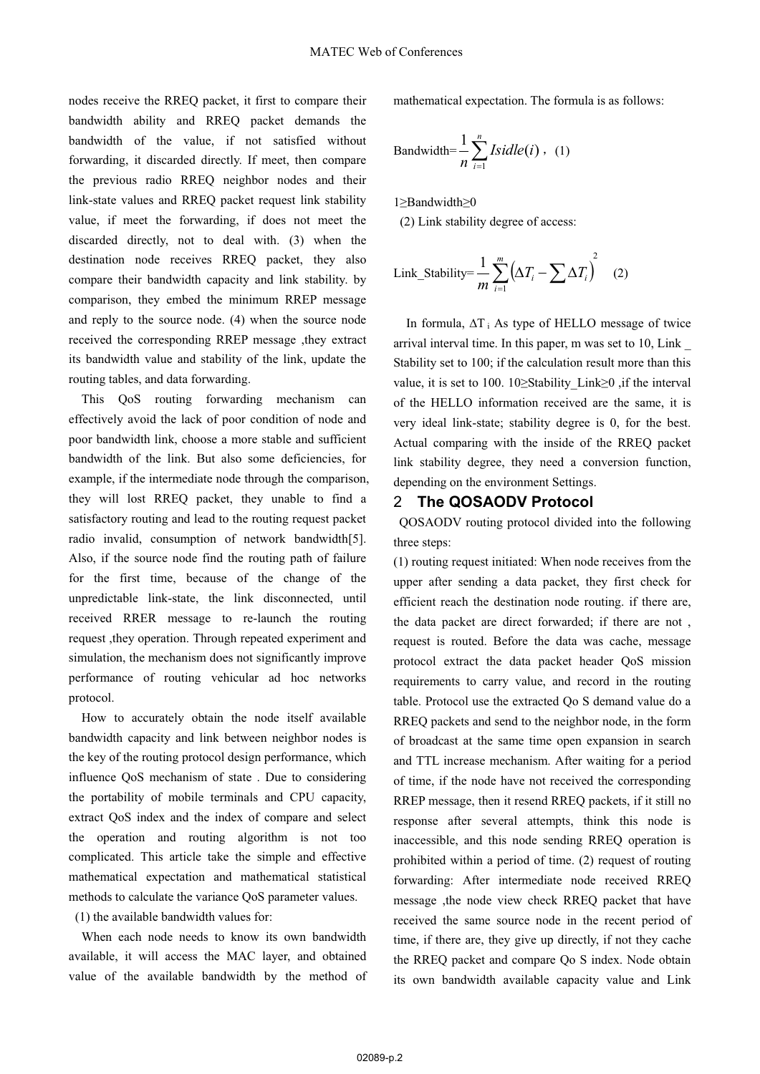nodes receive the RREQ packet, it first to compare their bandwidth ability and RREQ packet demands the bandwidth of the value, if not satisfied without forwarding, it discarded directly. If meet, then compare the previous radio RREQ neighbor nodes and their link-state values and RREQ packet request link stability value, if meet the forwarding, if does not meet the discarded directly, not to deal with. (3) when the destination node receives RREQ packet, they also compare their bandwidth capacity and link stability. by comparison, they embed the minimum RREP message and reply to the source node. (4) when the source node received the corresponding RREP message ,they extract its bandwidth value and stability of the link, update the routing tables, and data forwarding.

This QoS routing forwarding mechanism can effectively avoid the lack of poor condition of node and poor bandwidth link, choose a more stable and sufficient bandwidth of the link. But also some deficiencies, for example, if the intermediate node through the comparison, they will lost RREQ packet, they unable to find a satisfactory routing and lead to the routing request packet radio invalid, consumption of network bandwidth[5]. Also, if the source node find the routing path of failure for the first time, because of the change of the unpredictable link-state, the link disconnected, until received RRER message to re-launch the routing request ,they operation. Through repeated experiment and simulation, the mechanism does not significantly improve performance of routing vehicular ad hoc networks protocol.

 How to accurately obtain the node itself available bandwidth capacity and link between neighbor nodes is the key of the routing protocol design performance, which influence QoS mechanism of state . Due to considering the portability of mobile terminals and CPU capacity, extract QoS index and the index of compare and select the operation and routing algorithm is not too complicated. This article take the simple and effective mathematical expectation and mathematical statistical methods to calculate the variance QoS parameter values.

(1) the available bandwidth values for:

When each node needs to know its own bandwidth available, it will access the MAC layer, and obtained value of the available bandwidth by the method of mathematical expectation. The formula is as follows:

Bandwidth=
$$
\frac{1}{n}\sum_{i=1}^{n} Isidle(i)
$$
, (1)

1≥Bandwidth≥0 (2) Link stability degree of access:

Link\_Stability=
$$
\frac{1}{m}\sum_{i=1}^{m} (\Delta T_i - \sum \Delta T_i)^2
$$
 (2)

In formula,  $\Delta T_i$  As type of HELLO message of twice arrival interval time. In this paper, m was set to 10, Link \_ Stability set to 100; if the calculation result more than this value, it is set to 100. 10≥Stability\_Link≥0 ,if the interval of the HELLO information received are the same, it is very ideal link-state; stability degree is 0, for the best. Actual comparing with the inside of the RREQ packet link stability degree, they need a conversion function, depending on the environment Settings.

### 2 **The QOSAODV Protocol**

QOSAODV routing protocol divided into the following three steps:

(1) routing request initiated: When node receives from the upper after sending a data packet, they first check for efficient reach the destination node routing. if there are, the data packet are direct forwarded; if there are not , request is routed. Before the data was cache, message protocol extract the data packet header QoS mission requirements to carry value, and record in the routing table. Protocol use the extracted Qo S demand value do a RREQ packets and send to the neighbor node, in the form of broadcast at the same time open expansion in search and TTL increase mechanism. After waiting for a period of time, if the node have not received the corresponding RREP message, then it resend RREQ packets, if it still no response after several attempts, think this node is inaccessible, and this node sending RREQ operation is prohibited within a period of time. (2) request of routing forwarding: After intermediate node received RREQ message ,the node view check RREQ packet that have received the same source node in the recent period of time, if there are, they give up directly, if not they cache the RREQ packet and compare Qo S index. Node obtain its own bandwidth available capacity value and Link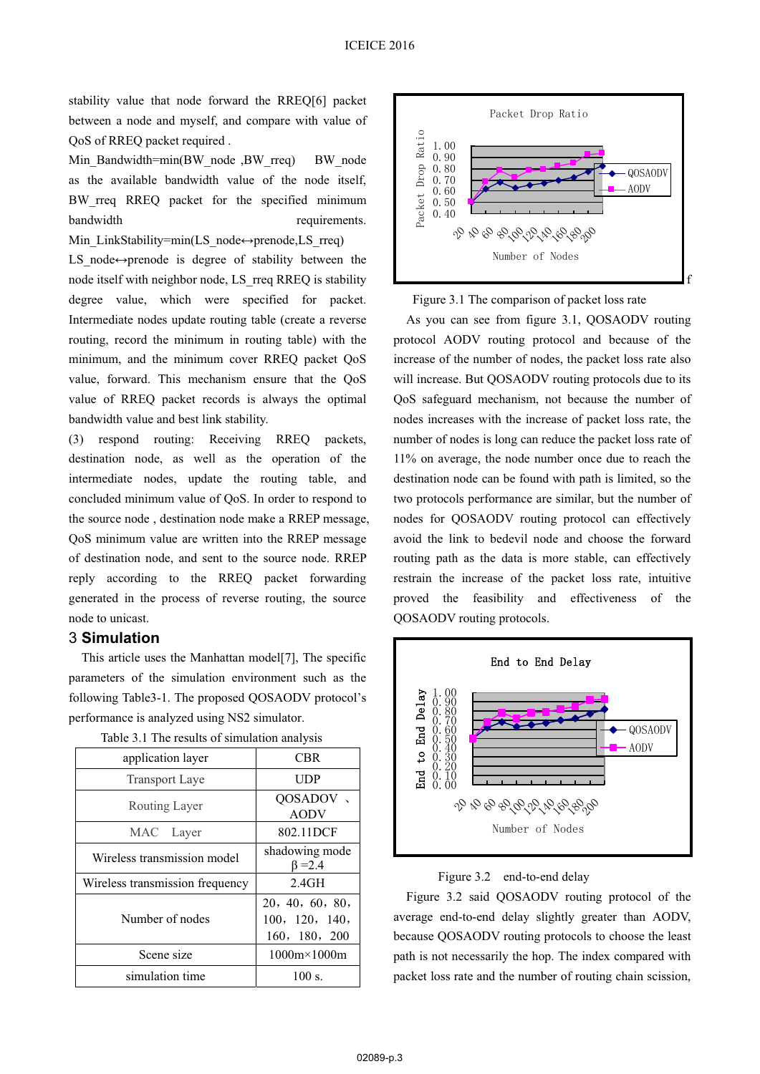stability value that node forward the RREQ[6] packet between a node and myself, and compare with value of QoS of RREQ packet required .

Min\_Bandwidth=min(BW\_node ,BW\_rreq) BW\_node as the available bandwidth value of the node itself, BW\_rreq RREQ packet for the specified minimum bandwidth requirements. Min\_LinkStability=min(LS\_node↔prenode,LS\_rreq)

LS node $\leftrightarrow$ prenode is degree of stability between the node itself with neighbor node, LS\_rreq RREQ is stability degree value, which were specified for packet. Intermediate nodes update routing table (create a reverse routing, record the minimum in routing table) with the minimum, and the minimum cover RREQ packet QoS value, forward. This mechanism ensure that the QoS value of RREQ packet records is always the optimal bandwidth value and best link stability.

(3) respond routing: Receiving RREQ packets, destination node, as well as the operation of the intermediate nodes, update the routing table, and concluded minimum value of QoS. In order to respond to the source node , destination node make a RREP message, QoS minimum value are written into the RREP message of destination node, and sent to the source node. RREP reply according to the RREQ packet forwarding generated in the process of reverse routing, the source node to unicast.

## 3 **Simulation**

This article uses the Manhattan model[7], The specific parameters of the simulation environment such as the following Table3-1. The proposed QOSAODV protocol's performance is analyzed using NS2 simulator.

| application layer               | <b>CBR</b>                                         |
|---------------------------------|----------------------------------------------------|
| <b>Transport Laye</b>           | UDP                                                |
| Routing Layer                   | QOSADOV,<br><b>AODV</b>                            |
| MAC Layer                       | 802.11DCF                                          |
| Wireless transmission model     | shadowing mode<br>$\beta = 2.4$                    |
| Wireless transmission frequency | 2.4GH                                              |
| Number of nodes                 | 20, 40, 60, 80,<br>100, 120, 140,<br>160, 180, 200 |
| Scene size                      | $1000m \times 1000m$                               |
| simulation time                 | 100 s.                                             |

Table 3.1 The results of simulation analysis



Figure 3.1 The comparison of packet loss rate

As you can see from figure 3.1, QOSAODV routing protocol AODV routing protocol and because of the increase of the number of nodes, the packet loss rate also will increase. But QOSAODV routing protocols due to its QoS safeguard mechanism, not because the number of nodes increases with the increase of packet loss rate, the number of nodes is long can reduce the packet loss rate of 11% on average, the node number once due to reach the destination node can be found with path is limited, so the two protocols performance are similar, but the number of nodes for QOSAODV routing protocol can effectively avoid the link to bedevil node and choose the forward routing path as the data is more stable, can effectively restrain the increase of the packet loss rate, intuitive proved the feasibility and effectiveness of the QOSAODV routing protocols.



#### Figure 3.2 end-to-end delay

Figure 3.2 said QOSAODV routing protocol of the average end-to-end delay slightly greater than AODV, because QOSAODV routing protocols to choose the least path is not necessarily the hop. The index compared with packet loss rate and the number of routing chain scission,